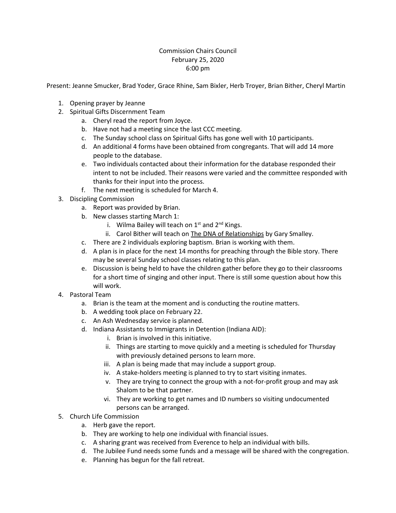## Commission Chairs Council February 25, 2020 6:00 pm

Present: Jeanne Smucker, Brad Yoder, Grace Rhine, Sam Bixler, Herb Troyer, Brian Bither, Cheryl Martin

- 1. Opening prayer by Jeanne
- 2. Spiritual Gifts Discernment Team
	- a. Cheryl read the report from Joyce.
	- b. Have not had a meeting since the last CCC meeting.
	- c. The Sunday school class on Spiritual Gifts has gone well with 10 participants.
	- d. An additional 4 forms have been obtained from congregants. That will add 14 more people to the database.
	- e. Two individuals contacted about their information for the database responded their intent to not be included. Their reasons were varied and the committee responded with thanks for their input into the process.
	- f. The next meeting is scheduled for March 4.
- 3. Discipling Commission
	- a. Report was provided by Brian.
	- b. New classes starting March 1:
		- i. Wilma Bailey will teach on  $1<sup>st</sup>$  and  $2<sup>nd</sup>$  Kings.
		- ii. Carol Bither will teach on The DNA of Relationships by Gary Smalley.
	- c. There are 2 individuals exploring baptism. Brian is working with them.
	- d. A plan is in place for the next 14 months for preaching through the Bible story. There may be several Sunday school classes relating to this plan.
	- e. Discussion is being held to have the children gather before they go to their classrooms for a short time of singing and other input. There is still some question about how this will work.
- 4. Pastoral Team
	- a. Brian is the team at the moment and is conducting the routine matters.
	- b. A wedding took place on February 22.
	- c. An Ash Wednesday service is planned.
	- d. Indiana Assistants to Immigrants in Detention (Indiana AID):
		- i. Brian is involved in this initiative.
			- ii. Things are starting to move quickly and a meeting is scheduled for Thursday with previously detained persons to learn more.
		- iii. A plan is being made that may include a support group.
		- iv. A stake-holders meeting is planned to try to start visiting inmates.
		- v. They are trying to connect the group with a not-for-profit group and may ask Shalom to be that partner.
		- vi. They are working to get names and ID numbers so visiting undocumented persons can be arranged.
- 5. Church Life Commission
	- a. Herb gave the report.
	- b. They are working to help one individual with financial issues.
	- c. A sharing grant was received from Everence to help an individual with bills.
	- d. The Jubilee Fund needs some funds and a message will be shared with the congregation.
	- e. Planning has begun for the fall retreat.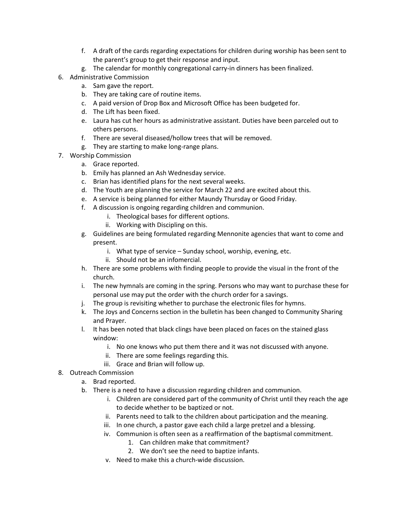- f. A draft of the cards regarding expectations for children during worship has been sent to the parent's group to get their response and input.
- g. The calendar for monthly congregational carry-in dinners has been finalized.
- 6. Administrative Commission
	- a. Sam gave the report.
	- b. They are taking care of routine items.
	- c. A paid version of Drop Box and Microsoft Office has been budgeted for.
	- d. The Lift has been fixed.
	- e. Laura has cut her hours as administrative assistant. Duties have been parceled out to others persons.
	- f. There are several diseased/hollow trees that will be removed.
	- g. They are starting to make long-range plans.
- 7. Worship Commission
	- a. Grace reported.
	- b. Emily has planned an Ash Wednesday service.
	- c. Brian has identified plans for the next several weeks.
	- d. The Youth are planning the service for March 22 and are excited about this.
	- e. A service is being planned for either Maundy Thursday or Good Friday.
	- f. A discussion is ongoing regarding children and communion.
		- i. Theological bases for different options.
		- ii. Working with Discipling on this.
	- g. Guidelines are being formulated regarding Mennonite agencies that want to come and present.
		- i. What type of service Sunday school, worship, evening, etc.
		- ii. Should not be an infomercial.
	- h. There are some problems with finding people to provide the visual in the front of the church.
	- i. The new hymnals are coming in the spring. Persons who may want to purchase these for personal use may put the order with the church order for a savings.
	- j. The group is revisiting whether to purchase the electronic files for hymns.
	- k. The Joys and Concerns section in the bulletin has been changed to Community Sharing and Prayer.
	- l. It has been noted that black clings have been placed on faces on the stained glass window:
		- i. No one knows who put them there and it was not discussed with anyone.
		- ii. There are some feelings regarding this.
		- iii. Grace and Brian will follow up.
- 8. Outreach Commission
	- a. Brad reported.
	- b. There is a need to have a discussion regarding children and communion.
		- i. Children are considered part of the community of Christ until they reach the age to decide whether to be baptized or not.
		- ii. Parents need to talk to the children about participation and the meaning.
		- iii. In one church, a pastor gave each child a large pretzel and a blessing.
		- iv. Communion is often seen as a reaffirmation of the baptismal commitment.
			- 1. Can children make that commitment?
			- 2. We don't see the need to baptize infants.
		- v. Need to make this a church-wide discussion.